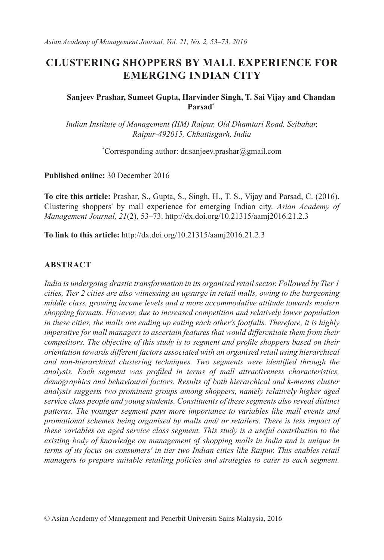# **CLUSTERING SHOPPERS BY MALL EXPERIENCE FOR EMERGING INDIAN CITY**

#### **Sanjeev Prashar, Sumeet Gupta, Harvinder Singh, T. Sai Vijay and Chandan Parsad\***

*Indian Institute of Management (IIM) Raipur, Old Dhamtari Road, Sejbahar, Raipur-492015, Chhattisgarh, India*

\* Corresponding author: dr.sanjeev.prashar@gmail.com

**Published online:** 30 December 2016

**To cite this article:** Prashar, S., Gupta, S., Singh, H., T. S., Vijay and Parsad, C. (2016). Clustering shoppers' by mall experience for emerging Indian city. *Asian Academy of Management Journal, 21*(2), 53–73. http://dx.doi.org/10.21315/aamj2016.21.2.3

**To link to this article:** http://dx.doi.org/10.21315/aamj2016.21.2.3

#### **ABSTRACT**

*India is undergoing drastic transformation in its organised retail sector. Followed by Tier 1 cities, Tier 2 cities are also witnessing an upsurge in retail malls, owing to the burgeoning middle class, growing income levels and a more accommodative attitude towards modern shopping formats. However, due to increased competition and relatively lower population in these cities, the malls are ending up eating each other's footfalls. Therefore, it is highly imperative for mall managers to ascertain features that would differentiate them from their competitors. The objective of this study is to segment and profile shoppers based on their orientation towards different factors associated with an organised retail using hierarchical and non-hierarchical clustering techniques. Two segments were identified through the analysis. Each segment was profiled in terms of mall attractiveness characteristics, demographics and behavioural factors. Results of both hierarchical and k-means cluster analysis suggests two prominent groups among shoppers, namely relatively higher aged service class people and young students. Constituents of these segments also reveal distinct patterns. The younger segment pays more importance to variables like mall events and promotional schemes being organised by malls and/ or retailers. There is less impact of these variables on aged service class segment. This study is a useful contribution to the existing body of knowledge on management of shopping malls in India and is unique in terms of its focus on consumers' in tier two Indian cities like Raipur. This enables retail managers to prepare suitable retailing policies and strategies to cater to each segment.*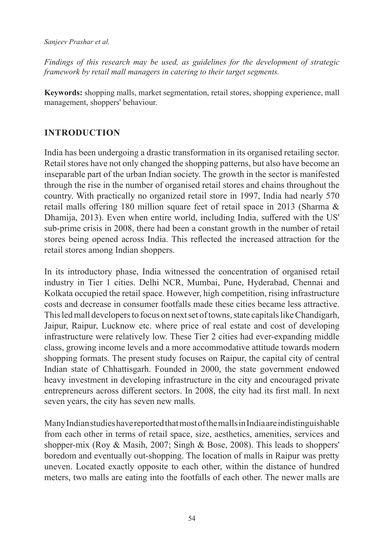*Findings of this research may be used, as guidelines for the development of strategic framework by retail mall managers in catering to their target segments.* 

**Keywords:** shopping malls, market segmentation, retail stores, shopping experience, mall management, shoppers' behaviour.

# **INTRODUCTION**

India has been undergoing a drastic transformation in its organised retailing sector. Retail stores have not only changed the shopping patterns, but also have become an inseparable part of the urban Indian society. The growth in the sector is manifested through the rise in the number of organised retail stores and chains throughout the country. With practically no organized retail store in 1997, India had nearly 570 retail malls offering 180 million square feet of retail space in 2013 (Sharma & Dhamija, 2013). Even when entire world, including India, suffered with the US' sub-prime crisis in 2008, there had been a constant growth in the number of retail stores being opened across India. This reflected the increased attraction for the retail stores among Indian shoppers.

In its introductory phase, India witnessed the concentration of organised retail industry in Tier 1 cities. Delhi NCR, Mumbai, Pune, Hyderabad, Chennai and Kolkata occupied the retail space. However, high competition, rising infrastructure costs and decrease in consumer footfalls made these cities became less attractive. This led mall developers to focus on next set of towns, state capitals like Chandigarh, Jaipur, Raipur, Lucknow etc. where price of real estate and cost of developing infrastructure were relatively low. These Tier 2 cities had ever-expanding middle class, growing income levels and a more accommodative attitude towards modern shopping formats. The present study focuses on Raipur, the capital city of central Indian state of Chhattisgarh. Founded in 2000, the state government endowed heavy investment in developing infrastructure in the city and encouraged private entrepreneurs across different sectors. In 2008, the city had its first mall. In next seven years, the city has seven new malls.

Many Indian studies have reported that most of the malls in India are indistinguishable from each other in terms of retail space, size, aesthetics, amenities, services and shopper-mix (Roy & Masih, 2007; Singh & Bose, 2008). This leads to shoppers' boredom and eventually out-shopping. The location of malls in Raipur was pretty uneven. Located exactly opposite to each other, within the distance of hundred meters, two malls are eating into the footfalls of each other. The newer malls are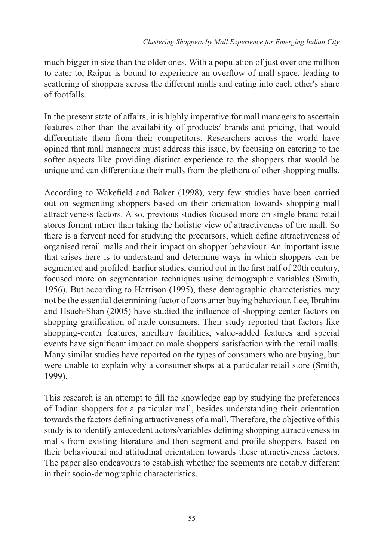much bigger in size than the older ones. With a population of just over one million to cater to, Raipur is bound to experience an overflow of mall space, leading to scattering of shoppers across the different malls and eating into each other's share of footfalls.

In the present state of affairs, it is highly imperative for mall managers to ascertain features other than the availability of products/ brands and pricing, that would differentiate them from their competitors. Researchers across the world have opined that mall managers must address this issue, by focusing on catering to the softer aspects like providing distinct experience to the shoppers that would be unique and can differentiate their malls from the plethora of other shopping malls.

According to Wakefield and Baker (1998), very few studies have been carried out on segmenting shoppers based on their orientation towards shopping mall attractiveness factors. Also, previous studies focused more on single brand retail stores format rather than taking the holistic view of attractiveness of the mall. So there is a fervent need for studying the precursors, which define attractiveness of organised retail malls and their impact on shopper behaviour. An important issue that arises here is to understand and determine ways in which shoppers can be segmented and profiled. Earlier studies, carried out in the first half of 20th century, focused more on segmentation techniques using demographic variables (Smith, 1956). But according to Harrison (1995), these demographic characteristics may not be the essential determining factor of consumer buying behaviour. Lee, Ibrahim and Hsueh-Shan (2005) have studied the influence of shopping center factors on shopping gratification of male consumers. Their study reported that factors like shopping-center features, ancillary facilities, value-added features and special events have significant impact on male shoppers' satisfaction with the retail malls. Many similar studies have reported on the types of consumers who are buying, but were unable to explain why a consumer shops at a particular retail store (Smith, 1999).

This research is an attempt to fill the knowledge gap by studying the preferences of Indian shoppers for a particular mall, besides understanding their orientation towards the factors defining attractiveness of a mall. Therefore, the objective of this study is to identify antecedent actors/variables defining shopping attractiveness in malls from existing literature and then segment and profile shoppers, based on their behavioural and attitudinal orientation towards these attractiveness factors. The paper also endeavours to establish whether the segments are notably different in their socio-demographic characteristics.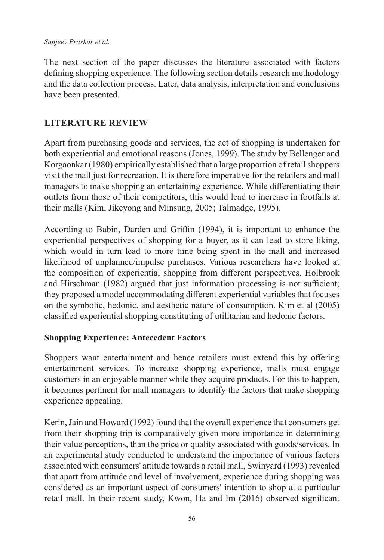The next section of the paper discusses the literature associated with factors defining shopping experience. The following section details research methodology and the data collection process. Later, data analysis, interpretation and conclusions have been presented.

# **LITERATURE REVIEW**

Apart from purchasing goods and services, the act of shopping is undertaken for both experiential and emotional reasons (Jones, 1999). The study by Bellenger and Korgaonkar (1980) empirically established that a large proportion of retail shoppers visit the mall just for recreation. It is therefore imperative for the retailers and mall managers to make shopping an entertaining experience. While differentiating their outlets from those of their competitors, this would lead to increase in footfalls at their malls (Kim, Jikeyong and Minsung, 2005; Talmadge, 1995).

According to Babin, Darden and Griffin (1994), it is important to enhance the experiential perspectives of shopping for a buyer, as it can lead to store liking, which would in turn lead to more time being spent in the mall and increased likelihood of unplanned/impulse purchases. Various researchers have looked at the composition of experiential shopping from different perspectives. Holbrook and Hirschman (1982) argued that just information processing is not sufficient; they proposed a model accommodating different experiential variables that focuses on the symbolic, hedonic, and aesthetic nature of consumption. Kim et al (2005) classified experiential shopping constituting of utilitarian and hedonic factors.

# **Shopping Experience: Antecedent Factors**

Shoppers want entertainment and hence retailers must extend this by offering entertainment services. To increase shopping experience, malls must engage customers in an enjoyable manner while they acquire products. For this to happen, it becomes pertinent for mall managers to identify the factors that make shopping experience appealing.

Kerin, Jain and Howard (1992) found that the overall experience that consumers get from their shopping trip is comparatively given more importance in determining their value perceptions, than the price or quality associated with goods/services. In an experimental study conducted to understand the importance of various factors associated with consumers' attitude towards a retail mall, Swinyard (1993) revealed that apart from attitude and level of involvement, experience during shopping was considered as an important aspect of consumers' intention to shop at a particular retail mall. In their recent study, Kwon, Ha and Im (2016) observed significant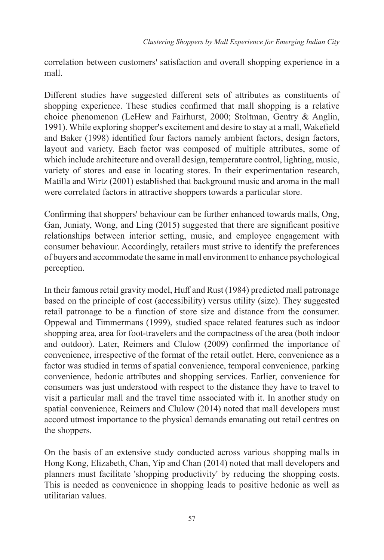correlation between customers' satisfaction and overall shopping experience in a mall.

Different studies have suggested different sets of attributes as constituents of shopping experience. These studies confirmed that mall shopping is a relative choice phenomenon (LeHew and Fairhurst, 2000; Stoltman, Gentry & Anglin, 1991). While exploring shopper's excitement and desire to stay at a mall, Wakefield and Baker (1998) identified four factors namely ambient factors, design factors, layout and variety. Each factor was composed of multiple attributes, some of which include architecture and overall design, temperature control, lighting, music, variety of stores and ease in locating stores. In their experimentation research, Matilla and Wirtz (2001) established that background music and aroma in the mall were correlated factors in attractive shoppers towards a particular store.

Confirming that shoppers' behaviour can be further enhanced towards malls, Ong, Gan, Juniaty, Wong, and Ling (2015) suggested that there are significant positive relationships between interior setting, music, and employee engagement with consumer behaviour. Accordingly, retailers must strive to identify the preferences of buyers and accommodate the same in mall environment to enhance psychological perception.

In their famous retail gravity model, Huff and Rust (1984) predicted mall patronage based on the principle of cost (accessibility) versus utility (size). They suggested retail patronage to be a function of store size and distance from the consumer. Oppewal and Timmermans (1999), studied space related features such as indoor shopping area, area for foot-travelers and the compactness of the area (both indoor and outdoor). Later, Reimers and Clulow (2009) confirmed the importance of convenience, irrespective of the format of the retail outlet. Here, convenience as a factor was studied in terms of spatial convenience, temporal convenience, parking convenience, hedonic attributes and shopping services. Earlier, convenience for consumers was just understood with respect to the distance they have to travel to visit a particular mall and the travel time associated with it. In another study on spatial convenience, Reimers and Clulow (2014) noted that mall developers must accord utmost importance to the physical demands emanating out retail centres on the shoppers.

On the basis of an extensive study conducted across various shopping malls in Hong Kong, Elizabeth, Chan, Yip and Chan (2014) noted that mall developers and planners must facilitate 'shopping productivity' by reducing the shopping costs. This is needed as convenience in shopping leads to positive hedonic as well as utilitarian values.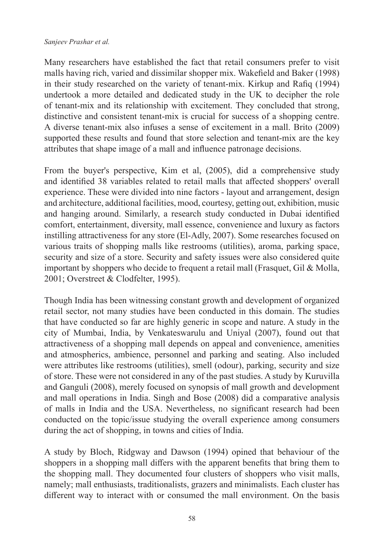Many researchers have established the fact that retail consumers prefer to visit malls having rich, varied and dissimilar shopper mix. Wakefield and Baker (1998) in their study researched on the variety of tenant-mix. Kirkup and Rafiq (1994) undertook a more detailed and dedicated study in the UK to decipher the role of tenant-mix and its relationship with excitement. They concluded that strong, distinctive and consistent tenant-mix is crucial for success of a shopping centre. A diverse tenant-mix also infuses a sense of excitement in a mall. Brito (2009) supported these results and found that store selection and tenant-mix are the key attributes that shape image of a mall and influence patronage decisions.

From the buyer's perspective, Kim et al, (2005), did a comprehensive study and identified 38 variables related to retail malls that affected shoppers' overall experience. These were divided into nine factors - layout and arrangement, design and architecture, additional facilities, mood, courtesy, getting out, exhibition, music and hanging around. Similarly, a research study conducted in Dubai identified comfort, entertainment, diversity, mall essence, convenience and luxury as factors instilling attractiveness for any store (El-Adly, 2007). Some researches focused on various traits of shopping malls like restrooms (utilities), aroma, parking space, security and size of a store. Security and safety issues were also considered quite important by shoppers who decide to frequent a retail mall (Frasquet, Gil & Molla, 2001; Overstreet & Clodfelter, 1995).

Though India has been witnessing constant growth and development of organized retail sector, not many studies have been conducted in this domain. The studies that have conducted so far are highly generic in scope and nature. A study in the city of Mumbai, India, by Venkateswarulu and Uniyal (2007), found out that attractiveness of a shopping mall depends on appeal and convenience, amenities and atmospherics, ambience, personnel and parking and seating. Also included were attributes like restrooms (utilities), smell (odour), parking, security and size of store. These were not considered in any of the past studies. A study by Kuruvilla and Ganguli (2008), merely focused on synopsis of mall growth and development and mall operations in India. Singh and Bose (2008) did a comparative analysis of malls in India and the USA. Nevertheless, no significant research had been conducted on the topic/issue studying the overall experience among consumers during the act of shopping, in towns and cities of India.

A study by Bloch, Ridgway and Dawson (1994) opined that behaviour of the shoppers in a shopping mall differs with the apparent benefits that bring them to the shopping mall. They documented four clusters of shoppers who visit malls, namely; mall enthusiasts, traditionalists, grazers and minimalists. Each cluster has different way to interact with or consumed the mall environment. On the basis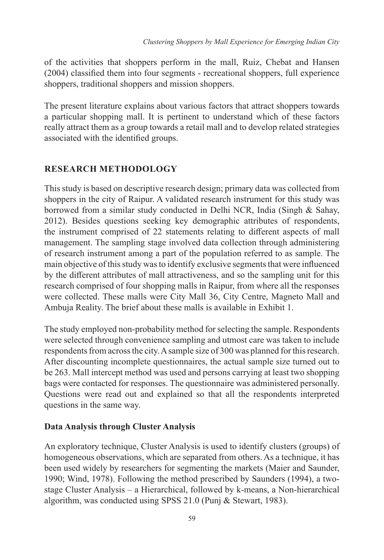of the activities that shoppers perform in the mall, Ruiz, Chebat and Hansen (2004) classified them into four segments - recreational shoppers, full experience shoppers, traditional shoppers and mission shoppers.

The present literature explains about various factors that attract shoppers towards a particular shopping mall. It is pertinent to understand which of these factors really attract them as a group towards a retail mall and to develop related strategies associated with the identified groups.

# **RESEARCH METHODOLOGY**

This study is based on descriptive research design; primary data was collected from shoppers in the city of Raipur. A validated research instrument for this study was borrowed from a similar study conducted in Delhi NCR, India (Singh & Sahay, 2012). Besides questions seeking key demographic attributes of respondents, the instrument comprised of 22 statements relating to different aspects of mall management. The sampling stage involved data collection through administering of research instrument among a part of the population referred to as sample. The main objective of this study was to identify exclusive segments that were influenced by the different attributes of mall attractiveness, and so the sampling unit for this research comprised of four shopping malls in Raipur, from where all the responses were collected. These malls were City Mall 36, City Centre, Magneto Mall and Ambuja Reality. The brief about these malls is available in Exhibit 1.

The study employed non-probability method for selecting the sample. Respondents were selected through convenience sampling and utmost care was taken to include respondents from across the city. A sample size of 300 was planned for this research. After discounting incomplete questionnaires, the actual sample size turned out to be 263. Mall intercept method was used and persons carrying at least two shopping bags were contacted for responses. The questionnaire was administered personally. Questions were read out and explained so that all the respondents interpreted questions in the same way.

# **Data Analysis through Cluster Analysis**

An exploratory technique, Cluster Analysis is used to identify clusters (groups) of homogeneous observations, which are separated from others. As a technique, it has been used widely by researchers for segmenting the markets (Maier and Saunder, 1990; Wind, 1978). Following the method prescribed by Saunders (1994), a twostage Cluster Analysis – a Hierarchical, followed by k-means, a Non-hierarchical algorithm, was conducted using SPSS 21.0 (Punj & Stewart, 1983).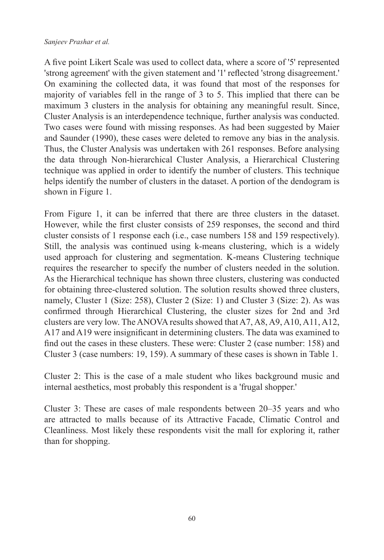A five point Likert Scale was used to collect data, where a score of '5' represented 'strong agreement' with the given statement and '1' reflected 'strong disagreement.' On examining the collected data, it was found that most of the responses for majority of variables fell in the range of 3 to 5. This implied that there can be maximum 3 clusters in the analysis for obtaining any meaningful result. Since, Cluster Analysis is an interdependence technique, further analysis was conducted. Two cases were found with missing responses. As had been suggested by Maier and Saunder (1990), these cases were deleted to remove any bias in the analysis. Thus, the Cluster Analysis was undertaken with 261 responses. Before analysing the data through Non-hierarchical Cluster Analysis, a Hierarchical Clustering technique was applied in order to identify the number of clusters. This technique helps identify the number of clusters in the dataset. A portion of the dendogram is shown in Figure 1.

From Figure 1, it can be inferred that there are three clusters in the dataset. However, while the first cluster consists of 259 responses, the second and third cluster consists of 1 response each (i.e., case numbers 158 and 159 respectively). Still, the analysis was continued using k-means clustering, which is a widely used approach for clustering and segmentation. K-means Clustering technique requires the researcher to specify the number of clusters needed in the solution. As the Hierarchical technique has shown three clusters, clustering was conducted for obtaining three-clustered solution. The solution results showed three clusters, namely, Cluster 1 (Size: 258), Cluster 2 (Size: 1) and Cluster 3 (Size: 2). As was confirmed through Hierarchical Clustering, the cluster sizes for 2nd and 3rd clusters are very low. The ANOVA results showed that A7, A8, A9, A10, A11, A12, A17 and A19 were insignificant in determining clusters. The data was examined to find out the cases in these clusters. These were: Cluster 2 (case number: 158) and Cluster 3 (case numbers: 19, 159). A summary of these cases is shown in Table 1.

Cluster 2: This is the case of a male student who likes background music and internal aesthetics, most probably this respondent is a 'frugal shopper.'

Cluster 3: These are cases of male respondents between 20–35 years and who are attracted to malls because of its Attractive Facade, Climatic Control and Cleanliness. Most likely these respondents visit the mall for exploring it, rather than for shopping.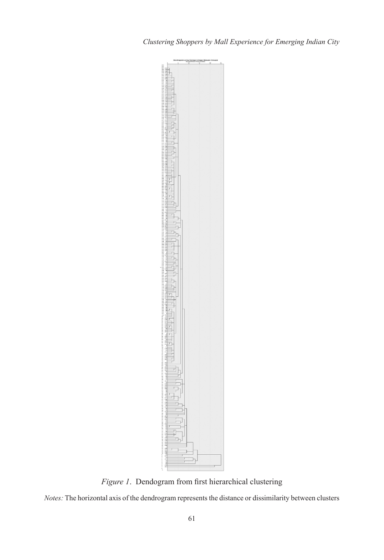

*Figure 1*. Dendogram from first hierarchical clustering

*Notes:* The horizontal axis of the dendrogram represents the distance or dissimilarity between clusters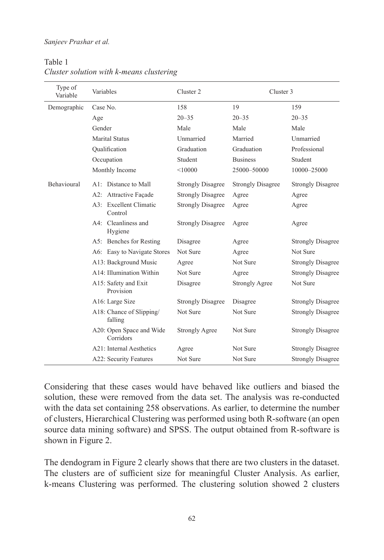| Type of<br>Variable | Variables                             | Cluster 2                | Cluster 3                |                          |
|---------------------|---------------------------------------|--------------------------|--------------------------|--------------------------|
| Demographic         | Case No.                              | 158                      | 19                       | 159                      |
|                     | Age                                   | $20 - 35$                | $20 - 35$                | $20 - 35$                |
|                     | Gender                                | Male                     | Male                     | Male                     |
|                     | <b>Marital Status</b>                 | Unmarried                | Married                  | Unmarried                |
|                     | Oualification                         | Graduation               | Graduation               | Professional             |
|                     | Occupation                            | Student                  | <b>Business</b>          | Student                  |
|                     | Monthly Income                        | < 10000                  | 25000-50000              | 10000-25000              |
| <b>Behavioural</b>  | A1: Distance to Mall                  | <b>Strongly Disagree</b> | <b>Strongly Disagree</b> | <b>Strongly Disagree</b> |
|                     | A2: Attractive Façade                 | <b>Strongly Disagree</b> | Agree                    | Agree                    |
|                     | A3: Excellent Climatic<br>Control     | <b>Strongly Disagree</b> | Agree                    | Agree                    |
|                     | A4: Cleanliness and<br>Hygiene        | <b>Strongly Disagree</b> | Agree                    | Agree                    |
|                     | A5: Benches for Resting               | Disagree                 | Agree                    | <b>Strongly Disagree</b> |
|                     | A6: Easy to Navigate Stores           | Not Sure                 | Agree                    | Not Sure                 |
|                     | A13: Background Music                 | Agree                    | Not Sure                 | <b>Strongly Disagree</b> |
|                     | A14: Illumination Within              | Not Sure                 | Agree                    | <b>Strongly Disagree</b> |
|                     | A15: Safety and Exit<br>Provision     | Disagree                 | <b>Strongly Agree</b>    | Not Sure                 |
|                     | A16: Large Size                       | <b>Strongly Disagree</b> | Disagree                 | <b>Strongly Disagree</b> |
|                     | A18: Chance of Slipping/<br>falling   | Not Sure                 | Not Sure                 | <b>Strongly Disagree</b> |
|                     | A20: Open Space and Wide<br>Corridors | <b>Strongly Agree</b>    | Not Sure                 | <b>Strongly Disagree</b> |
|                     | A21: Internal Aesthetics              | Agree                    | Not Sure                 | <b>Strongly Disagree</b> |
|                     | A22: Security Features                | Not Sure                 | Not Sure                 | <b>Strongly Disagree</b> |

#### Table 1 *Cluster solution with k-means clustering*

Considering that these cases would have behaved like outliers and biased the solution, these were removed from the data set. The analysis was re-conducted with the data set containing 258 observations. As earlier, to determine the number of clusters, Hierarchical Clustering was performed using both R-software (an open source data mining software) and SPSS. The output obtained from R-software is shown in Figure 2.

The dendogram in Figure 2 clearly shows that there are two clusters in the dataset. The clusters are of sufficient size for meaningful Cluster Analysis. As earlier, k-means Clustering was performed. The clustering solution showed 2 clusters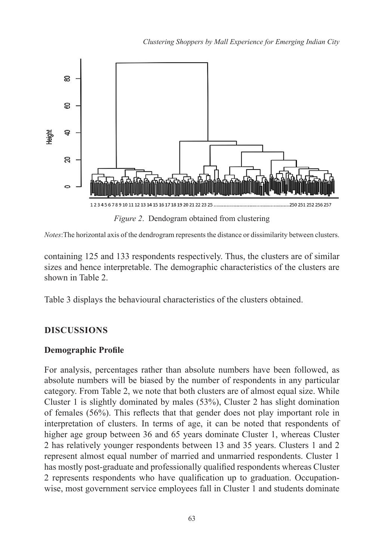

*Notes*:The horizontal axis of the dendrogram represents the distance or dissimilarity between clusters.

containing 125 and 133 respondents respectively. Thus, the clusters are of similar sizes and hence interpretable. The demographic characteristics of the clusters are shown in Table 2.

Table 3 displays the behavioural characteristics of the clusters obtained.

# **DISCUSSIONS**

## **Demographic Profile**

For analysis, percentages rather than absolute numbers have been followed, as absolute numbers will be biased by the number of respondents in any particular category. From Table 2, we note that both clusters are of almost equal size. While Cluster 1 is slightly dominated by males (53%), Cluster 2 has slight domination of females (56%). This reflects that that gender does not play important role in interpretation of clusters. In terms of age, it can be noted that respondents of higher age group between 36 and 65 years dominate Cluster 1, whereas Cluster 2 has relatively younger respondents between 13 and 35 years. Clusters 1 and 2 represent almost equal number of married and unmarried respondents. Cluster 1 has mostly post-graduate and professionally qualified respondents whereas Cluster 2 represents respondents who have qualification up to graduation. Occupationwise, most government service employees fall in Cluster 1 and students dominate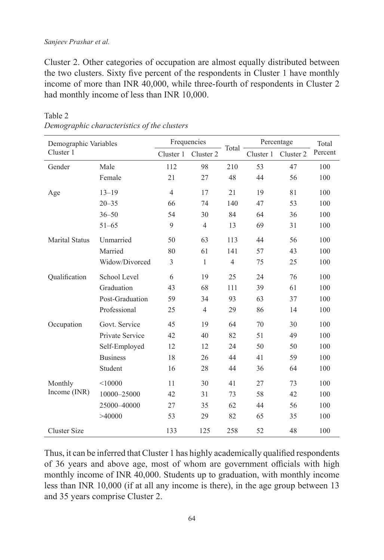Cluster 2. Other categories of occupation are almost equally distributed between the two clusters. Sixty five percent of the respondents in Cluster 1 have monthly income of more than INR 40,000, while three-fourth of respondents in Cluster 2 had monthly income of less than INR 10,000.

| Demographic Variables<br>Cluster 1 |                 | Frequencies    |                |                | Percentage |           | Total   |
|------------------------------------|-----------------|----------------|----------------|----------------|------------|-----------|---------|
|                                    |                 | Cluster 1      | Cluster 2      | Total          | Cluster 1  | Cluster 2 | Percent |
| Gender                             | Male            | 112            | 98             | 210            | 53         | 47        | 100     |
|                                    | Female          | 21             | 27             | 48             | 44         | 56        | 100     |
| Age                                | $13 - 19$       | $\overline{4}$ | 17             | 21             | 19         | 81        | 100     |
|                                    | $20 - 35$       | 66             | 74             | 140            | 47         | 53        | 100     |
|                                    | $36 - 50$       | 54             | 30             | 84             | 64         | 36        | 100     |
|                                    | $51 - 65$       | 9              | $\overline{4}$ | 13             | 69         | 31        | 100     |
| <b>Marital Status</b>              | Unmarried       | 50             | 63             | 113            | 44         | 56        | 100     |
|                                    | Married         | 80             | 61             | 141            | 57         | 43        | 100     |
|                                    | Widow/Divorced  | 3              | $\mathbf{1}$   | $\overline{4}$ | 75         | 25        | 100     |
| Qualification                      | School Level    | 6              | 19             | 25             | 24         | 76        | 100     |
|                                    | Graduation      | 43             | 68             | 111            | 39         | 61        | 100     |
|                                    | Post-Graduation | 59             | 34             | 93             | 63         | 37        | 100     |
|                                    | Professional    | 25             | $\overline{4}$ | 29             | 86         | 14        | 100     |
| Occupation                         | Govt. Service   | 45             | 19             | 64             | 70         | 30        | 100     |
|                                    | Private Service | 42             | 40             | 82             | 51         | 49        | 100     |
|                                    | Self-Employed   | 12             | 12             | 24             | 50         | 50        | 100     |
|                                    | <b>Business</b> | 18             | 26             | 44             | 41         | 59        | 100     |
|                                    | Student         | 16             | 28             | 44             | 36         | 64        | 100     |
| Monthly                            | < 10000         | 11             | 30             | 41             | 27         | 73        | 100     |
| Income (INR)                       | 10000-25000     | 42             | 31             | 73             | 58         | 42        | 100     |
|                                    | 25000-40000     | 27             | 35             | 62             | 44         | 56        | 100     |
|                                    | >40000          | 53             | 29             | 82             | 65         | 35        | 100     |
| <b>Cluster Size</b>                |                 | 133            | 125            | 258            | 52         | 48        | 100     |

### Table 2 *Demographic characteristics of the clusters*

Thus, it can be inferred that Cluster 1 has highly academically qualified respondents of 36 years and above age, most of whom are government officials with high monthly income of INR 40,000. Students up to graduation, with monthly income less than INR 10,000 (if at all any income is there), in the age group between 13 and 35 years comprise Cluster 2.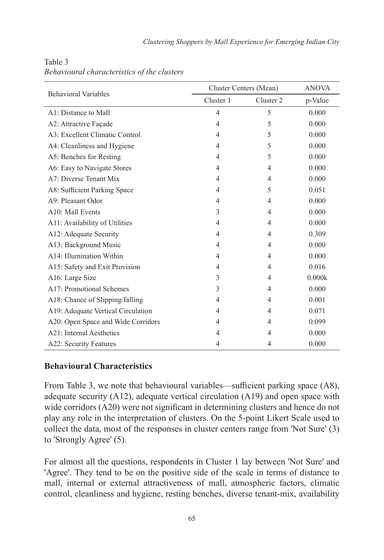|                                    | Cluster Centers (Mean) | <b>ANOVA</b>   |         |
|------------------------------------|------------------------|----------------|---------|
| <b>Behavioral Variables</b>        | Cluster 1              | Cluster 2      | p-Value |
| A1: Distance to Mall               | $\overline{4}$         | 5              | 0.000   |
| A2: Attractive Façade              | $\overline{4}$         | 5              | 0.000   |
| A3: Excellent Climatic Control     | $\overline{4}$         | 5              | 0.000   |
| A4: Cleanliness and Hygiene        | 4                      | 5              | 0.000   |
| A5: Benches for Resting            | $\overline{4}$         | 5              | 0.000   |
| A6: Easy to Navigate Stores        | $\overline{4}$         | 4              | 0.000   |
| A7: Diverse Tenant Mix             | 4                      | 4              | 0.000   |
| A8: Sufficient Parking Space       | 4                      | 5              | 0.051   |
| A9: Pleasant Odor                  | 4                      | 4              | 0.000   |
| A10: Mall Events                   | 3                      | 4              | 0.000   |
| A11: Availability of Utilities     | 4                      | 4              | 0.000   |
| A12: Adequate Security             | $\overline{4}$         | $\overline{4}$ | 0.309   |
| A13: Background Music              | 4                      | 4              | 0.000   |
| A14: Illumination Within           | $\overline{4}$         | 4              | 0.000   |
| A15: Safety and Exit Provision     | 4                      | 4              | 0.016   |
| A16: Large Size                    | 3                      | 4              | 0.000k  |
| A17: Promotional Schemes           | 3                      | 4              | 0.000   |
| A18: Chance of Slipping/falling    | $\overline{4}$         | 4              | 0.001   |
| A19: Adequate Vertical Circulation | 4                      | $\overline{4}$ | 0.071   |
| A20: Open Space and Wide Corridors | 4                      | 4              | 0.099   |
| A21: Internal Aesthetics           | 4                      | 4              | 0.000   |
| A22: Security Features             | 4                      | 4              | 0.000   |

Table 3 *Behavioural characteristics of the clusters*

### **Behavioural Characteristics**

From Table 3, we note that behavioural variables—sufficient parking space (A8), adequate security (A12), adequate vertical circulation (A19) and open space with wide corridors (A20) were not significant in determining clusters and hence do not play any role in the interpretation of clusters. On the 5-point Likert Scale used to collect the data, most of the responses in cluster centers range from 'Not Sure' (3) to 'Strongly Agree' (5).

For almost all the questions, respondents in Cluster 1 lay between 'Not Sure' and 'Agree'. They tend to be on the positive side of the scale in terms of distance to mall, internal or external attractiveness of mall, atmospheric factors, climatic control, cleanliness and hygiene, resting benches, diverse tenant-mix, availability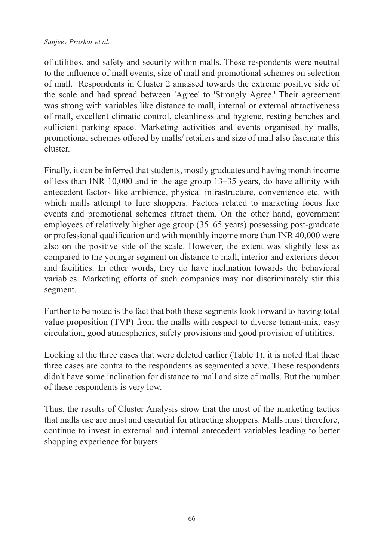of utilities, and safety and security within malls. These respondents were neutral to the influence of mall events, size of mall and promotional schemes on selection of mall. Respondents in Cluster 2 amassed towards the extreme positive side of the scale and had spread between 'Agree' to 'Strongly Agree.' Their agreement was strong with variables like distance to mall, internal or external attractiveness of mall, excellent climatic control, cleanliness and hygiene, resting benches and sufficient parking space. Marketing activities and events organised by malls, promotional schemes offered by malls/ retailers and size of mall also fascinate this cluster.

Finally, it can be inferred that students, mostly graduates and having month income of less than INR 10,000 and in the age group 13–35 years, do have affinity with antecedent factors like ambience, physical infrastructure, convenience etc. with which malls attempt to lure shoppers. Factors related to marketing focus like events and promotional schemes attract them. On the other hand, government employees of relatively higher age group (35–65 years) possessing post-graduate or professional qualification and with monthly income more than INR 40,000 were also on the positive side of the scale. However, the extent was slightly less as compared to the younger segment on distance to mall, interior and exteriors décor and facilities. In other words, they do have inclination towards the behavioral variables. Marketing efforts of such companies may not discriminately stir this segment.

Further to be noted is the fact that both these segments look forward to having total value proposition (TVP) from the malls with respect to diverse tenant-mix, easy circulation, good atmospherics, safety provisions and good provision of utilities.

Looking at the three cases that were deleted earlier (Table 1), it is noted that these three cases are contra to the respondents as segmented above. These respondents didn't have some inclination for distance to mall and size of malls. But the number of these respondents is very low.

Thus, the results of Cluster Analysis show that the most of the marketing tactics that malls use are must and essential for attracting shoppers. Malls must therefore, continue to invest in external and internal antecedent variables leading to better shopping experience for buyers.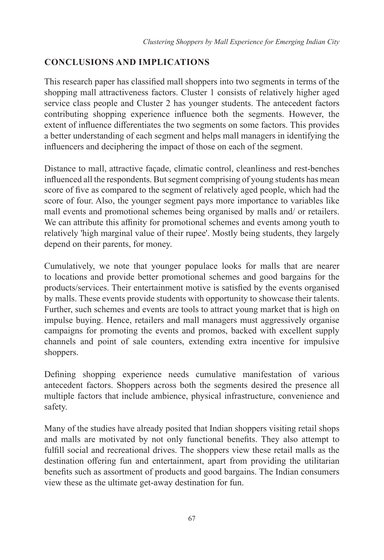## **CONCLUSIONS AND IMPLICATIONS**

This research paper has classified mall shoppers into two segments in terms of the shopping mall attractiveness factors. Cluster 1 consists of relatively higher aged service class people and Cluster 2 has younger students. The antecedent factors contributing shopping experience influence both the segments. However, the extent of influence differentiates the two segments on some factors. This provides a better understanding of each segment and helps mall managers in identifying the influencers and deciphering the impact of those on each of the segment.

Distance to mall, attractive façade, climatic control, cleanliness and rest-benches influenced all the respondents. But segment comprising of young students has mean score of five as compared to the segment of relatively aged people, which had the score of four. Also, the younger segment pays more importance to variables like mall events and promotional schemes being organised by malls and/ or retailers. We can attribute this affinity for promotional schemes and events among youth to relatively 'high marginal value of their rupee'. Mostly being students, they largely depend on their parents, for money.

Cumulatively, we note that younger populace looks for malls that are nearer to locations and provide better promotional schemes and good bargains for the products/services. Their entertainment motive is satisfied by the events organised by malls. These events provide students with opportunity to showcase their talents. Further, such schemes and events are tools to attract young market that is high on impulse buying. Hence, retailers and mall managers must aggressively organise campaigns for promoting the events and promos, backed with excellent supply channels and point of sale counters, extending extra incentive for impulsive shoppers.

Defining shopping experience needs cumulative manifestation of various antecedent factors. Shoppers across both the segments desired the presence all multiple factors that include ambience, physical infrastructure, convenience and safety.

Many of the studies have already posited that Indian shoppers visiting retail shops and malls are motivated by not only functional benefits. They also attempt to fulfill social and recreational drives. The shoppers view these retail malls as the destination offering fun and entertainment, apart from providing the utilitarian benefits such as assortment of products and good bargains. The Indian consumers view these as the ultimate get-away destination for fun.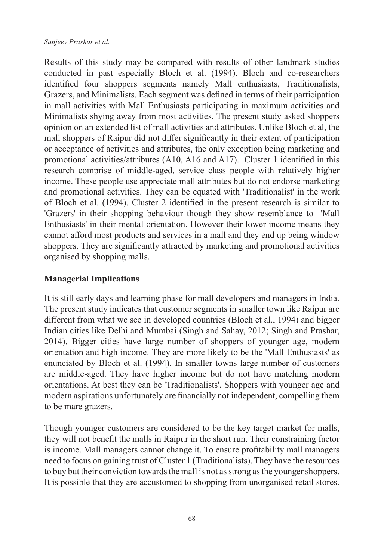Results of this study may be compared with results of other landmark studies conducted in past especially Bloch et al. (1994). Bloch and co-researchers identified four shoppers segments namely Mall enthusiasts, Traditionalists, Grazers, and Minimalists. Each segment was defined in terms of their participation in mall activities with Mall Enthusiasts participating in maximum activities and Minimalists shying away from most activities. The present study asked shoppers opinion on an extended list of mall activities and attributes. Unlike Bloch et al, the mall shoppers of Raipur did not differ significantly in their extent of participation or acceptance of activities and attributes, the only exception being marketing and promotional activities/attributes (A10, A16 and A17). Cluster 1 identified in this research comprise of middle-aged, service class people with relatively higher income. These people use appreciate mall attributes but do not endorse marketing and promotional activities. They can be equated with 'Traditionalist' in the work of Bloch et al. (1994). Cluster 2 identified in the present research is similar to 'Grazers' in their shopping behaviour though they show resemblance to 'Mall Enthusiasts' in their mental orientation. However their lower income means they cannot afford most products and services in a mall and they end up being window shoppers. They are significantly attracted by marketing and promotional activities organised by shopping malls.

## **Managerial Implications**

It is still early days and learning phase for mall developers and managers in India. The present study indicates that customer segments in smaller town like Raipur are different from what we see in developed countries (Bloch et al., 1994) and bigger Indian cities like Delhi and Mumbai (Singh and Sahay, 2012; Singh and Prashar, 2014). Bigger cities have large number of shoppers of younger age, modern orientation and high income. They are more likely to be the 'Mall Enthusiasts' as enunciated by Bloch et al. (1994). In smaller towns large number of customers are middle-aged. They have higher income but do not have matching modern orientations. At best they can be 'Traditionalists'. Shoppers with younger age and modern aspirations unfortunately are financially not independent, compelling them to be mare grazers.

Though younger customers are considered to be the key target market for malls, they will not benefit the malls in Raipur in the short run. Their constraining factor is income. Mall managers cannot change it. To ensure profitability mall managers need to focus on gaining trust of Cluster 1 (Traditionalists). They have the resources to buy but their conviction towards the mall is not as strong as the younger shoppers. It is possible that they are accustomed to shopping from unorganised retail stores.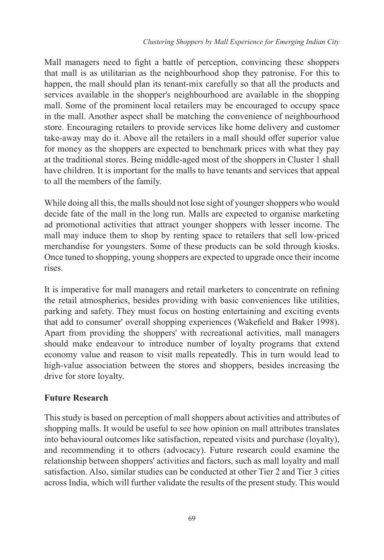Mall managers need to fight a battle of perception, convincing these shoppers that mall is as utilitarian as the neighbourhood shop they patronise. For this to happen, the mall should plan its tenant-mix carefully so that all the products and services available in the shopper's neighbourhood are available in the shopping mall. Some of the prominent local retailers may be encouraged to occupy space in the mall. Another aspect shall be matching the convenience of neighbourhood store. Encouraging retailers to provide services like home delivery and customer take-away may do it. Above all the retailers in a mall should offer superior value for money as the shoppers are expected to benchmark prices with what they pay at the traditional stores. Being middle-aged most of the shoppers in Cluster 1 shall have children. It is important for the malls to have tenants and services that appeal to all the members of the family.

While doing all this, the malls should not lose sight of younger shoppers who would decide fate of the mall in the long run. Malls are expected to organise marketing ad promotional activities that attract younger shoppers with lesser income. The mall may induce them to shop by renting space to retailers that sell low-priced merchandise for youngsters. Some of these products can be sold through kiosks. Once tuned to shopping, young shoppers are expected to upgrade once their income rises.

It is imperative for mall managers and retail marketers to concentrate on refining the retail atmospherics, besides providing with basic conveniences like utilities, parking and safety. They must focus on hosting entertaining and exciting events that add to consumer' overall shopping experiences (Wakefield and Baker 1998). Apart from providing the shoppers' with recreational activities, mall managers should make endeavour to introduce number of loyalty programs that extend economy value and reason to visit malls repeatedly. This in turn would lead to high-value association between the stores and shoppers, besides increasing the drive for store loyalty.

## **Future Research**

This study is based on perception of mall shoppers about activities and attributes of shopping malls. It would be useful to see how opinion on mall attributes translates into behavioural outcomes like satisfaction, repeated visits and purchase (loyalty), and recommending it to others (advocacy). Future research could examine the relationship between shoppers' activities and factors, such as mall loyalty and mall satisfaction. Also, similar studies can be conducted at other Tier 2 and Tier 3 cities across India, which will further validate the results of the present study. This would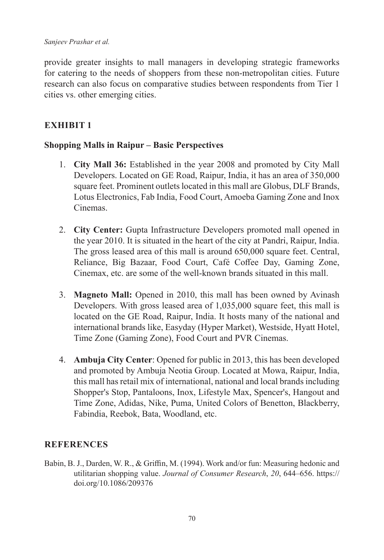provide greater insights to mall managers in developing strategic frameworks for catering to the needs of shoppers from these non-metropolitan cities. Future research can also focus on comparative studies between respondents from Tier 1 cities vs. other emerging cities.

# **Exhibit 1**

## **Shopping Malls in Raipur – Basic Perspectives**

- 1. **City Mall 36:** Established in the year 2008 and promoted by City Mall Developers. Located on GE Road, Raipur, India, it has an area of 350,000 square feet. Prominent outlets located in this mall are Globus, DLF Brands, Lotus Electronics, Fab India, Food Court, Amoeba Gaming Zone and Inox Cinemas.
- 2. **City Center:** Gupta Infrastructure Developers promoted mall opened in the year 2010. It is situated in the heart of the city at Pandri, Raipur, India. The gross leased area of this mall is around 650,000 square feet. Central, Reliance, Big Bazaar, Food Court, Café Coffee Day, Gaming Zone, Cinemax, etc. are some of the well-known brands situated in this mall.
- 3. **Magneto Mall:** Opened in 2010, this mall has been owned by Avinash Developers. With gross leased area of 1,035,000 square feet, this mall is located on the GE Road, Raipur, India. It hosts many of the national and international brands like, Easyday (Hyper Market), Westside, Hyatt Hotel, Time Zone (Gaming Zone), Food Court and PVR Cinemas.
- 4. **Ambuja City Center**: Opened for public in 2013, this has been developed and promoted by Ambuja Neotia Group. Located at Mowa, Raipur, India, this mall has retail mix of international, national and local brands including Shopper's Stop, Pantaloons, Inox, Lifestyle Max, Spencer's, Hangout and Time Zone, Adidas, Nike, Puma, United Colors of Benetton, Blackberry, Fabindia, Reebok, Bata, Woodland, etc.

## **REFERENCES**

Babin, B. J., Darden, W. R., & Griffin, M. (1994). Work and/or fun: Measuring hedonic and utilitarian shopping value. *Journal of Consumer Research*, *20*, 644–656. https:// doi.org/10.1086/209376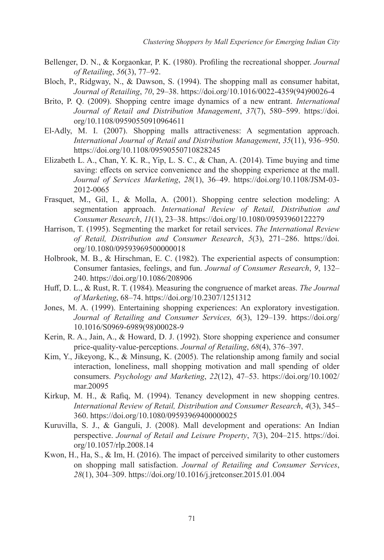- Bellenger, D. N., & Korgaonkar, P. K. (1980). Profiling the recreational shopper. *Journal of Retailing*, *56*(3), 77–92.
- Bloch, P., Ridgway, N., & Dawson, S. (1994). The shopping mall as consumer habitat, *Journal of Retailing*, *70*, 29–38. https://doi.org/10.1016/0022-4359(94)90026-4
- Brito, P. Q. (2009). Shopping centre image dynamics of a new entrant. *International Journal of Retail and Distribution Management*, *37*(7), 580–599. https://doi. org/10.1108/09590550910964611
- El-Adly, M. I. (2007). Shopping malls attractiveness: A segmentation approach. *International Journal of Retail and Distribution Management*, *35*(11), 936–950. https://doi.org/10.1108/09590550710828245
- Elizabeth L. A., Chan, Y. K. R., Yip, L. S. C., & Chan, A. (2014). Time buying and time saving: effects on service convenience and the shopping experience at the mall. *Journal of Services Marketing*, *28*(1), 36–49. https://doi.org/10.1108/JSM-03- 2012-0065
- Frasquet, M., Gil, I., & Molla, A. (2001). Shopping centre selection modeling: A segmentation approach. *International Review of Retail, Distribution and Consumer Research*, *11*(1), 23–38. https://doi.org/10.1080/09593960122279
- Harrison, T. (1995). Segmenting the market for retail services. *The International Review of Retail, Distribution and Consumer Research*, *5*(3), 271–286. https://doi. org/10.1080/09593969500000018
- Holbrook, M. B., & Hirschman, E. C. (1982). The experiential aspects of consumption: Consumer fantasies, feelings, and fun. *Journal of Consumer Research*, *9*, 132– 240. https://doi.org/10.1086/208906
- Huff, D. L., & Rust, R. T. (1984). Measuring the congruence of market areas. *The Journal of Marketing*, 68–74. https://doi.org/10.2307/1251312
- Jones, M. A. (1999). Entertaining shopping experiences: An exploratory investigation. *Journal of Retailing and Consumer Services, 6*(3), 129–139. https://doi.org/ 10.1016/S0969-6989(98)00028-9
- Kerin, R. A., Jain, A., & Howard, D. J. (1992). Store shopping experience and consumer price-quality-value-perceptions. *Journal of Retailing*, *68*(4), 376–397.
- Kim, Y., Jikeyong, K., & Minsung, K. (2005). The relationship among family and social interaction, loneliness, mall shopping motivation and mall spending of older consumers. *Psychology and Marketing*, *22*(12), 47–53. https://doi.org/10.1002/ mar.20095
- Kirkup, M. H., & Rafiq, M. (1994). Tenancy development in new shopping centres. *International Review of Retail, Distribution and Consumer Research*, *4*(3), 345– 360. https://doi.org/10.1080/09593969400000025
- Kuruvilla, S. J., & Ganguli, J. (2008). Mall development and operations: An Indian perspective. *Journal of Retail and Leisure Property*, *7*(3), 204–215. https://doi. org/10.1057/rlp.2008.14
- Kwon, H., Ha, S., & Im, H. (2016). The impact of perceived similarity to other customers on shopping mall satisfaction. *Journal of Retailing and Consumer Services*, *28*(1), 304–309. https://doi.org/10.1016/j.jretconser.2015.01.004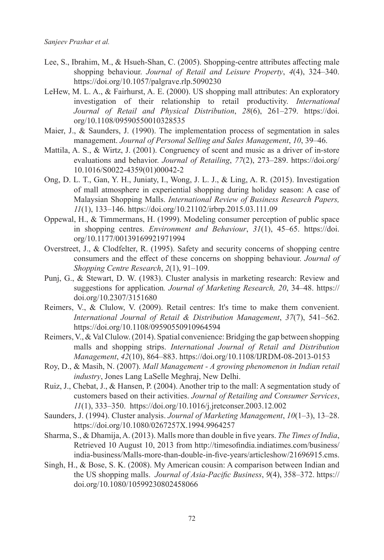- Lee, S., Ibrahim, M., & Hsueh-Shan, C. (2005). Shopping-centre attributes affecting male shopping behaviour. *Journal of Retail and Leisure Property*, *4*(4), 324–340. https://doi.org/10.1057/palgrave.rlp.5090230
- LeHew, M. L. A., & Fairhurst, A. E. (2000). US shopping mall attributes: An exploratory investigation of their relationship to retail productivity. *International Journal of Retail and Physical Distribution*, *28*(6), 261–279. https://doi. org/10.1108/09590550010328535
- Maier, J., & Saunders, J. (1990). The implementation process of segmentation in sales management. *Journal of Personal Selling and Sales Management*, *10*, 39–46.
- Mattila, A. S., & Wirtz, J. (2001). Congruency of scent and music as a driver of in-store evaluations and behavior. *Journal of Retailing*, *77*(2), 273–289. https://doi.org/ 10.1016/S0022-4359(01)00042-2
- Ong, D. L. T., Gan, Y. H., Juniaty, I., Wong, J. L. J., & Ling, A. R. (2015). Investigation of mall atmosphere in experiential shopping during holiday season: A case of Malaysian Shopping Malls. *International Review of Business Research Papers, 11*(1), 133–146. https://doi.org/10.21102/irbrp.2015.03.111.09
- Oppewal, H., & Timmermans, H. (1999). Modeling consumer perception of public space in shopping centres. *Environment and Behaviour*, *31*(1), 45–65. https://doi. org/10.1177/00139169921971994
- Overstreet, J., & Clodfelter, R. (1995). Safety and security concerns of shopping centre consumers and the effect of these concerns on shopping behaviour. *Journal of Shopping Centre Research*, *2*(1), 91–109.
- Punj, G., & Stewart, D. W. (1983). Cluster analysis in marketing research: Review and suggestions for application*. Journal of Marketing Research, 20*, 34–48. https:// doi.org/10.2307/3151680
- Reimers, V., & Clulow, V. (2009). Retail centres: It's time to make them convenient. *International Journal of Retail & Distribution Management*, *37*(7), 541–562. https://doi.org/10.1108/09590550910964594
- Reimers, V., & Val Clulow. (2014). Spatial convenience: Bridging the gap between shopping malls and shopping strips. *International Journal of Retail and Distribution Management*, *42*(10), 864–883. https://doi.org/10.1108/IJRDM-08-2013-0153
- Roy, D., & Masih, N. (2007). *Mall Management A growing phenomenon in Indian retail industry*, Jones Lang LaSelle Meghraj, New Delhi.
- Ruiz, J., Chebat, J., & Hansen, P. (2004). Another trip to the mall: A segmentation study of customers based on their activities. *Journal of Retailing and Consumer Services*, *11*(1), 333–350. https://doi.org/10.1016/j.jretconser.2003.12.002
- Saunders, J. (1994). Cluster analysis. *Journal of Marketing Management*, *10*(1–3), 13–28. https://doi.org/10.1080/0267257X.1994.9964257
- Sharma, S., & Dhamija, A. (2013). Malls more than double in five years. *The Times of India*, Retrieved 10 August 10, 2013 from http://timesofindia.indiatimes.com/business/ india-business/Malls-more-than-double-in-five-years/articleshow/21696915.cms.
- Singh, H., & Bose, S. K. (2008). My American cousin: A comparison between Indian and the US shopping malls. *Journal of Asia-Pacific Business*, *9*(4), 358–372. https:// doi.org/10.1080/10599230802458066